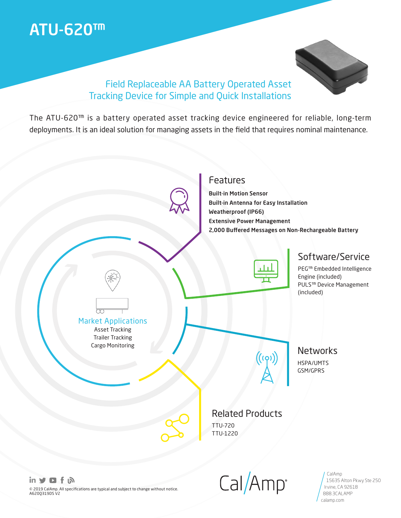# ATU-620™



### Field Replaceable AA Battery Operated Asset Tracking Device for Simple and Quick Installations

The ATU-620™ is a battery operated asset tracking device engineered for reliable, long-term deployments. It is an ideal solution for managing assets in the field that requires nominal maintenance.



in **ソロ** f ふ © 2019 CalAmp. All specifications are typical and subject to change without notice. A620Q319DS V2

 $Cal/Amp$ 

15635 Alton Pkwy Ste 250

Irvine, CA 92618 888.3CALAMP calamp.com